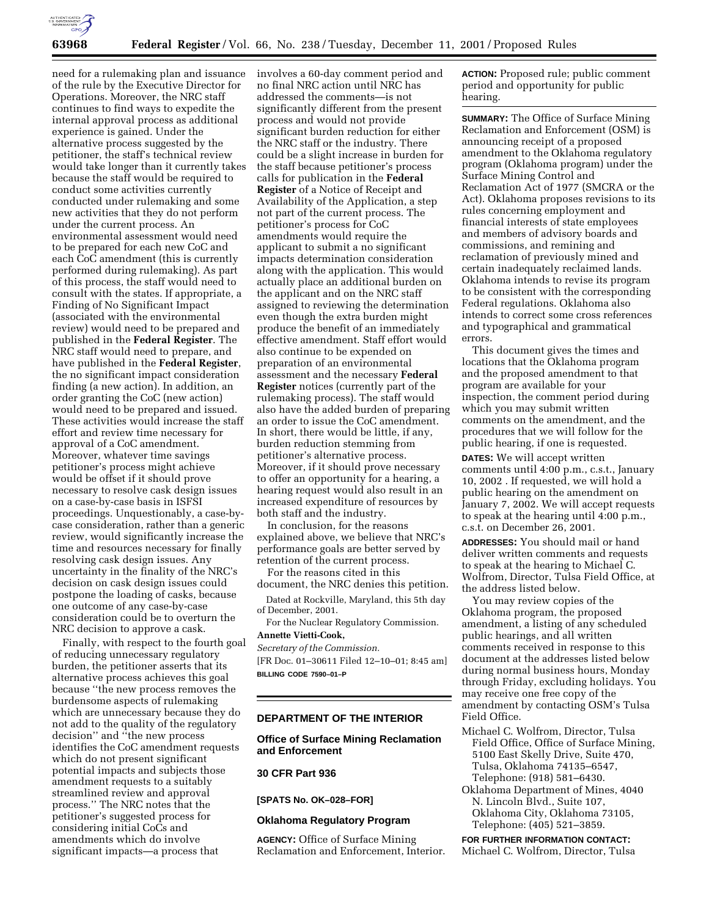

need for a rulemaking plan and issuance of the rule by the Executive Director for Operations. Moreover, the NRC staff continues to find ways to expedite the internal approval process as additional experience is gained. Under the alternative process suggested by the petitioner, the staff's technical review would take longer than it currently takes because the staff would be required to conduct some activities currently conducted under rulemaking and some new activities that they do not perform under the current process. An environmental assessment would need to be prepared for each new CoC and each CoC amendment (this is currently performed during rulemaking). As part of this process, the staff would need to consult with the states. If appropriate, a Finding of No Significant Impact (associated with the environmental review) would need to be prepared and published in the **Federal Register**. The NRC staff would need to prepare, and have published in the **Federal Register**, the no significant impact consideration finding (a new action). In addition, an order granting the CoC (new action) would need to be prepared and issued. These activities would increase the staff effort and review time necessary for approval of a CoC amendment. Moreover, whatever time savings petitioner's process might achieve would be offset if it should prove necessary to resolve cask design issues on a case-by-case basis in ISFSI proceedings. Unquestionably, a case-bycase consideration, rather than a generic review, would significantly increase the time and resources necessary for finally resolving cask design issues. Any uncertainty in the finality of the NRC's decision on cask design issues could postpone the loading of casks, because one outcome of any case-by-case consideration could be to overturn the NRC decision to approve a cask.

Finally, with respect to the fourth goal of reducing unnecessary regulatory burden, the petitioner asserts that its alternative process achieves this goal because ''the new process removes the burdensome aspects of rulemaking which are unnecessary because they do not add to the quality of the regulatory decision'' and ''the new process identifies the CoC amendment requests which do not present significant potential impacts and subjects those amendment requests to a suitably streamlined review and approval process.'' The NRC notes that the petitioner's suggested process for considering initial CoCs and amendments which do involve significant impacts—a process that

involves a 60-day comment period and no final NRC action until NRC has addressed the comments—is not significantly different from the present process and would not provide significant burden reduction for either the NRC staff or the industry. There could be a slight increase in burden for the staff because petitioner's process calls for publication in the **Federal Register** of a Notice of Receipt and Availability of the Application, a step not part of the current process. The petitioner's process for CoC amendments would require the applicant to submit a no significant impacts determination consideration along with the application. This would actually place an additional burden on the applicant and on the NRC staff assigned to reviewing the determination even though the extra burden might produce the benefit of an immediately effective amendment. Staff effort would also continue to be expended on preparation of an environmental assessment and the necessary **Federal Register** notices (currently part of the rulemaking process). The staff would also have the added burden of preparing an order to issue the CoC amendment. In short, there would be little, if any, burden reduction stemming from petitioner's alternative process. Moreover, if it should prove necessary to offer an opportunity for a hearing, a hearing request would also result in an increased expenditure of resources by both staff and the industry.

In conclusion, for the reasons explained above, we believe that NRC's performance goals are better served by retention of the current process.

For the reasons cited in this document, the NRC denies this petition.

Dated at Rockville, Maryland, this 5th day of December, 2001.

For the Nuclear Regulatory Commission. **Annette Vietti-Cook,**

*Secretary of the Commission.*

[FR Doc. 01–30611 Filed 12–10–01; 8:45 am] **BILLING CODE 7590–01–P**

#### **DEPARTMENT OF THE INTERIOR**

### **Office of Surface Mining Reclamation and Enforcement**

# **30 CFR Part 936**

**[SPATS No. OK–028–FOR]**

### **Oklahoma Regulatory Program**

**AGENCY:** Office of Surface Mining Reclamation and Enforcement, Interior. **ACTION:** Proposed rule; public comment period and opportunity for public hearing.

**SUMMARY:** The Office of Surface Mining Reclamation and Enforcement (OSM) is announcing receipt of a proposed amendment to the Oklahoma regulatory program (Oklahoma program) under the Surface Mining Control and Reclamation Act of 1977 (SMCRA or the Act). Oklahoma proposes revisions to its rules concerning employment and financial interests of state employees and members of advisory boards and commissions, and remining and reclamation of previously mined and certain inadequately reclaimed lands. Oklahoma intends to revise its program to be consistent with the corresponding Federal regulations. Oklahoma also intends to correct some cross references and typographical and grammatical errors.

This document gives the times and locations that the Oklahoma program and the proposed amendment to that program are available for your inspection, the comment period during which you may submit written comments on the amendment, and the procedures that we will follow for the public hearing, if one is requested.

**DATES:** We will accept written comments until 4:00 p.m., c.s.t., January 10, 2002 . If requested, we will hold a public hearing on the amendment on January 7, 2002. We will accept requests to speak at the hearing until 4:00 p.m., c.s.t. on December 26, 2001.

**ADDRESSES:** You should mail or hand deliver written comments and requests to speak at the hearing to Michael C. Wolfrom, Director, Tulsa Field Office, at the address listed below.

You may review copies of the Oklahoma program, the proposed amendment, a listing of any scheduled public hearings, and all written comments received in response to this document at the addresses listed below during normal business hours, Monday through Friday, excluding holidays. You may receive one free copy of the amendment by contacting OSM's Tulsa Field Office.

Michael C. Wolfrom, Director, Tulsa Field Office, Office of Surface Mining, 5100 East Skelly Drive, Suite 470, Tulsa, Oklahoma 74135–6547, Telephone: (918) 581–6430.

Oklahoma Department of Mines, 4040 N. Lincoln Blvd., Suite 107, Oklahoma City, Oklahoma 73105, Telephone: (405) 521–3859.

### **FOR FURTHER INFORMATION CONTACT:** Michael C. Wolfrom, Director, Tulsa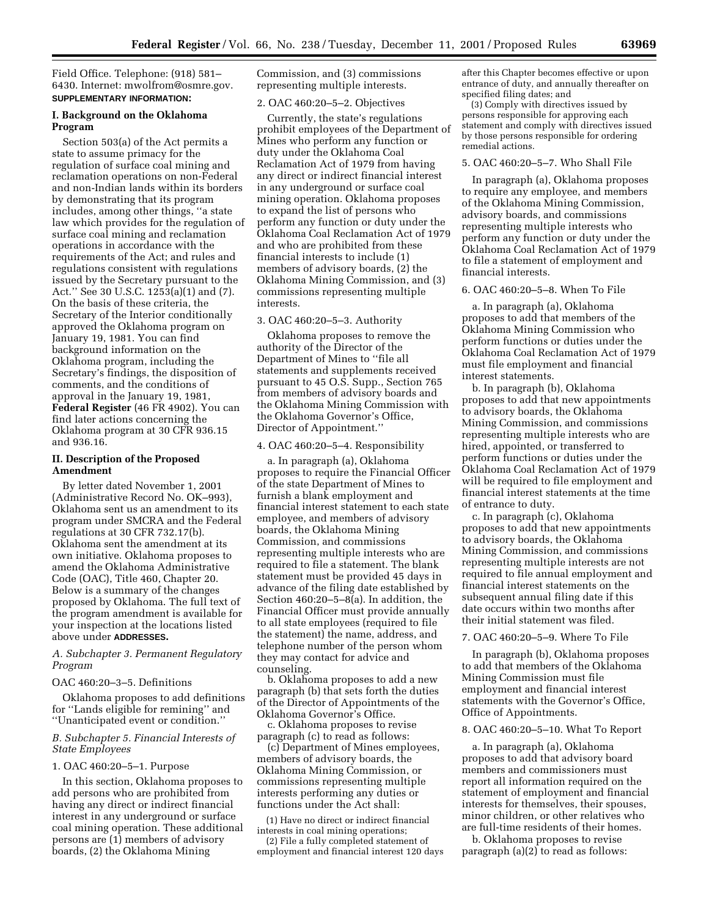Field Office. Telephone: (918) 581– 6430. Internet: mwolfrom@osmre.gov. **SUPPLEMENTARY INFORMATION:**

#### **I. Background on the Oklahoma Program**

Section 503(a) of the Act permits a state to assume primacy for the regulation of surface coal mining and reclamation operations on non-Federal and non-Indian lands within its borders by demonstrating that its program includes, among other things, ''a state law which provides for the regulation of surface coal mining and reclamation operations in accordance with the requirements of the Act; and rules and regulations consistent with regulations issued by the Secretary pursuant to the Act.'' See 30 U.S.C. 1253(a)(1) and (7). On the basis of these criteria, the Secretary of the Interior conditionally approved the Oklahoma program on January 19, 1981. You can find background information on the Oklahoma program, including the Secretary's findings, the disposition of comments, and the conditions of approval in the January 19, 1981, **Federal Register** (46 FR 4902). You can find later actions concerning the Oklahoma program at 30 CFR 936.15 and 936.16.

### **II. Description of the Proposed Amendment**

By letter dated November 1, 2001 (Administrative Record No. OK–993), Oklahoma sent us an amendment to its program under SMCRA and the Federal regulations at 30 CFR 732.17(b). Oklahoma sent the amendment at its own initiative. Oklahoma proposes to amend the Oklahoma Administrative Code (OAC), Title 460, Chapter 20. Below is a summary of the changes proposed by Oklahoma. The full text of the program amendment is available for your inspection at the locations listed above under **ADDRESSES.**

### *A. Subchapter 3. Permanent Regulatory Program*

#### OAC 460:20–3–5. Definitions

Oklahoma proposes to add definitions for ''Lands eligible for remining'' and ''Unanticipated event or condition.''

#### *B. Subchapter 5. Financial Interests of State Employees*

#### 1. OAC 460:20–5–1. Purpose

In this section, Oklahoma proposes to add persons who are prohibited from having any direct or indirect financial interest in any underground or surface coal mining operation. These additional persons are (1) members of advisory boards, (2) the Oklahoma Mining

Commission, and (3) commissions representing multiple interests.

#### 2. OAC 460:20–5–2. Objectives

Currently, the state's regulations prohibit employees of the Department of Mines who perform any function or duty under the Oklahoma Coal Reclamation Act of 1979 from having any direct or indirect financial interest in any underground or surface coal mining operation. Oklahoma proposes to expand the list of persons who perform any function or duty under the Oklahoma Coal Reclamation Act of 1979 and who are prohibited from these financial interests to include (1) members of advisory boards, (2) the Oklahoma Mining Commission, and (3) commissions representing multiple interests.

#### 3. OAC 460:20–5–3. Authority

Oklahoma proposes to remove the authority of the Director of the Department of Mines to ''file all statements and supplements received pursuant to 45 O.S. Supp., Section 765 from members of advisory boards and the Oklahoma Mining Commission with the Oklahoma Governor's Office, Director of Appointment.''

#### 4. OAC 460:20–5–4. Responsibility

a. In paragraph (a), Oklahoma proposes to require the Financial Officer of the state Department of Mines to furnish a blank employment and financial interest statement to each state employee, and members of advisory boards, the Oklahoma Mining Commission, and commissions representing multiple interests who are required to file a statement. The blank statement must be provided 45 days in advance of the filing date established by Section 460:20–5–8(a). In addition, the Financial Officer must provide annually to all state employees (required to file the statement) the name, address, and telephone number of the person whom they may contact for advice and counseling.

b. Oklahoma proposes to add a new paragraph (b) that sets forth the duties of the Director of Appointments of the Oklahoma Governor's Office.

c. Oklahoma proposes to revise paragraph (c) to read as follows:

(c) Department of Mines employees, members of advisory boards, the Oklahoma Mining Commission, or commissions representing multiple interests performing any duties or functions under the Act shall:

(1) Have no direct or indirect financial interests in coal mining operations;

(2) File a fully completed statement of employment and financial interest 120 days after this Chapter becomes effective or upon entrance of duty, and annually thereafter on specified filing dates; and

(3) Comply with directives issued by persons responsible for approving each statement and comply with directives issued by those persons responsible for ordering remedial actions.

## 5. OAC 460:20–5–7. Who Shall File

In paragraph (a), Oklahoma proposes to require any employee, and members of the Oklahoma Mining Commission, advisory boards, and commissions representing multiple interests who perform any function or duty under the Oklahoma Coal Reclamation Act of 1979 to file a statement of employment and financial interests.

#### 6. OAC 460:20–5–8. When To File

a. In paragraph (a), Oklahoma proposes to add that members of the Oklahoma Mining Commission who perform functions or duties under the Oklahoma Coal Reclamation Act of 1979 must file employment and financial interest statements.

b. In paragraph (b), Oklahoma proposes to add that new appointments to advisory boards, the Oklahoma Mining Commission, and commissions representing multiple interests who are hired, appointed, or transferred to perform functions or duties under the Oklahoma Coal Reclamation Act of 1979 will be required to file employment and financial interest statements at the time of entrance to duty.

c. In paragraph (c), Oklahoma proposes to add that new appointments to advisory boards, the Oklahoma Mining Commission, and commissions representing multiple interests are not required to file annual employment and financial interest statements on the subsequent annual filing date if this date occurs within two months after their initial statement was filed.

#### 7. OAC 460:20–5–9. Where To File

In paragraph (b), Oklahoma proposes to add that members of the Oklahoma Mining Commission must file employment and financial interest statements with the Governor's Office, Office of Appointments.

#### 8. OAC 460:20–5–10. What To Report

a. In paragraph (a), Oklahoma proposes to add that advisory board members and commissioners must report all information required on the statement of employment and financial interests for themselves, their spouses, minor children, or other relatives who are full-time residents of their homes.

b. Oklahoma proposes to revise paragraph (a)(2) to read as follows: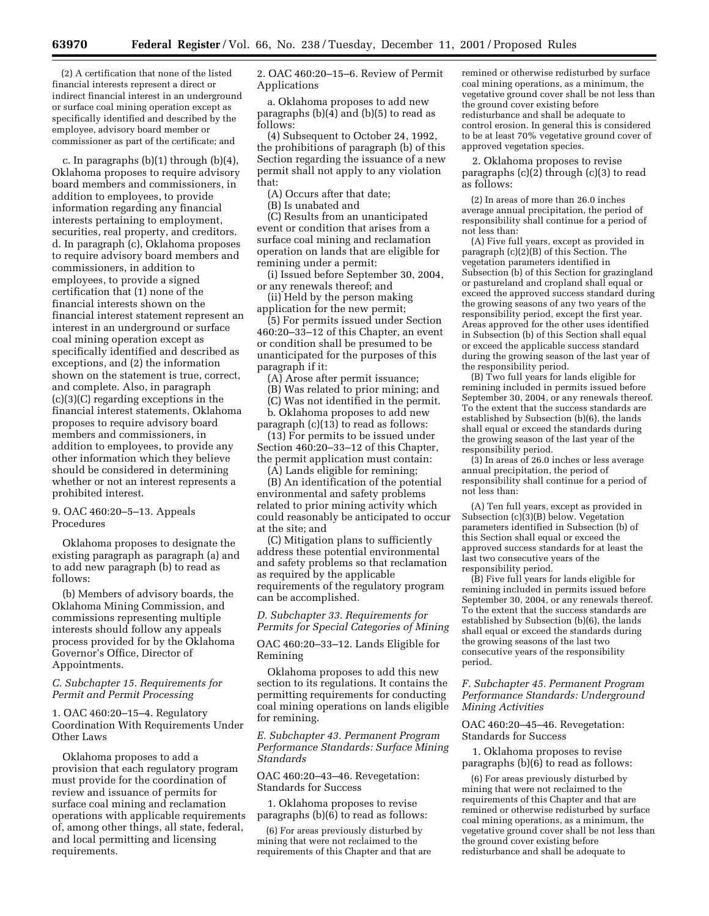(2) A certification that none of the listed financial interests represent a direct or indirect financial interest in an underground or surface coal mining operation except as specifically identified and described by the employee, advisory board member or commissioner as part of the certificate; and

c. In paragraphs (b)(1) through (b)(4), Oklahoma proposes to require advisory board members and commissioners, in addition to employees, to provide information regarding any financial interests pertaining to employment, securities, real property, and creditors. d. In paragraph (c), Oklahoma proposes to require advisory board members and commissioners, in addition to employees, to provide a signed certification that (1) none of the financial interests shown on the financial interest statement represent an interest in an underground or surface coal mining operation except as specifically identified and described as exceptions, and (2) the information shown on the statement is true, correct, and complete. Also, in paragraph (c)(3)(C) regarding exceptions in the financial interest statements, Oklahoma proposes to require advisory board members and commissioners, in addition to employees, to provide any other information which they believe should be considered in determining whether or not an interest represents a prohibited interest.

### 9. OAC 460:20–5–13. Appeals Procedures

Oklahoma proposes to designate the existing paragraph as paragraph (a) and to add new paragraph (b) to read as follows:

(b) Members of advisory boards, the Oklahoma Mining Commission, and commissions representing multiple interests should follow any appeals process provided for by the Oklahoma Governor's Office, Director of Appointments.

### *C. Subchapter 15. Requirements for Permit and Permit Processing*

1. OAC 460:20–15–4. Regulatory Coordination With Requirements Under Other Laws

Oklahoma proposes to add a provision that each regulatory program must provide for the coordination of review and issuance of permits for surface coal mining and reclamation operations with applicable requirements of, among other things, all state, federal, and local permitting and licensing requirements.

2. OAC 460:20–15–6. Review of Permit Applications

a. Oklahoma proposes to add new paragraphs (b)(4) and (b)(5) to read as follows:

(4) Subsequent to October 24, 1992, the prohibitions of paragraph (b) of this Section regarding the issuance of a new permit shall not apply to any violation that:

(A) Occurs after that date;

(B) Is unabated and

(C) Results from an unanticipated event or condition that arises from a surface coal mining and reclamation operation on lands that are eligible for remining under a permit:

(i) Issued before September 30, 2004, or any renewals thereof; and

(ii) Held by the person making application for the new permit;

(5) For permits issued under Section 460:20–33–12 of this Chapter, an event or condition shall be presumed to be unanticipated for the purposes of this paragraph if it:

(A) Arose after permit issuance;

(B) Was related to prior mining; and (C) Was not identified in the permit.

b. Oklahoma proposes to add new paragraph  $(c)(13)$  to read as follows:

(13) For permits to be issued under Section 460:20–33–12 of this Chapter, the permit application must contain:

(A) Lands eligible for remining; (B) An identification of the potential environmental and safety problems related to prior mining activity which could reasonably be anticipated to occur at the site; and

(C) Mitigation plans to sufficiently address these potential environmental and safety problems so that reclamation as required by the applicable requirements of the regulatory program can be accomplished.

### *D. Subchapter 33. Requirements for Permits for Special Categories of Mining*

OAC 460:20–33–12. Lands Eligible for Remining

Oklahoma proposes to add this new section to its regulations. It contains the permitting requirements for conducting coal mining operations on lands eligible for remining.

*E. Subchapter 43. Permanent Program Performance Standards: Surface Mining Standards*

OAC 460:20–43–46. Revegetation: Standards for Success

1. Oklahoma proposes to revise paragraphs (b)(6) to read as follows:

(6) For areas previously disturbed by mining that were not reclaimed to the requirements of this Chapter and that are remined or otherwise redisturbed by surface coal mining operations, as a minimum, the vegetative ground cover shall be not less than the ground cover existing before redisturbance and shall be adequate to control erosion. In general this is considered to be at least 70% vegetative ground cover of approved vegetation species.

2. Oklahoma proposes to revise paragraphs (c)(2) through (c)(3) to read as follows:

(2) In areas of more than 26.0 inches average annual precipitation, the period of responsibility shall continue for a period of not less than:

(A) Five full years, except as provided in paragraph (c)(2)(B) of this Section. The vegetation parameters identified in Subsection (b) of this Section for grazingland or pastureland and cropland shall equal or exceed the approved success standard during the growing seasons of any two years of the responsibility period, except the first year. Areas approved for the other uses identified in Subsection (b) of this Section shall equal or exceed the applicable success standard during the growing season of the last year of the responsibility period.

(B) Two full years for lands eligible for remining included in permits issued before September 30, 2004, or any renewals thereof. To the extent that the success standards are established by Subsection (b)(6), the lands shall equal or exceed the standards during the growing season of the last year of the responsibility period.

(3) In areas of 26.0 inches or less average annual precipitation, the period of responsibility shall continue for a period of not less than:

(A) Ten full years, except as provided in Subsection (c)(3)(B) below. Vegetation parameters identified in Subsection (b) of this Section shall equal or exceed the approved success standards for at least the last two consecutive years of the responsibility period.

(B) Five full years for lands eligible for remining included in permits issued before September 30, 2004, or any renewals thereof. To the extent that the success standards are established by Subsection (b)(6), the lands shall equal or exceed the standards during the growing seasons of the last two consecutive years of the responsibility period.

### *F. Subchapter 45. Permanent Program Performance Standards: Underground Mining Activities*

OAC 460:20–45–46. Revegetation: Standards for Success

1. Oklahoma proposes to revise paragraphs (b)(6) to read as follows:

(6) For areas previously disturbed by mining that were not reclaimed to the requirements of this Chapter and that are remined or otherwise redisturbed by surface coal mining operations, as a minimum, the vegetative ground cover shall be not less than the ground cover existing before redisturbance and shall be adequate to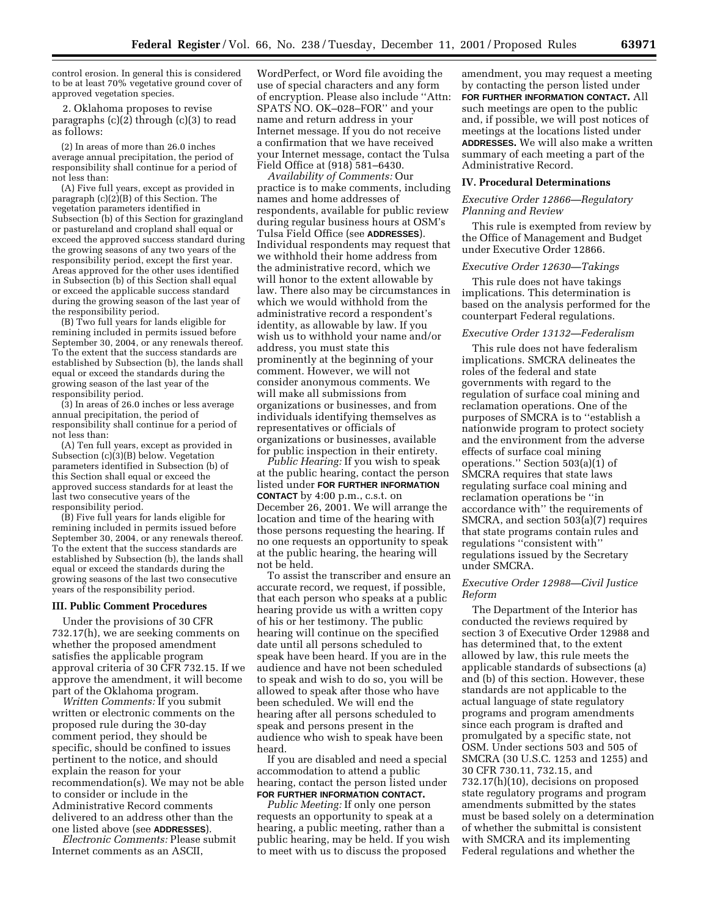control erosion. In general this is considered to be at least 70% vegetative ground cover of approved vegetation species.

2. Oklahoma proposes to revise paragraphs (c)(2) through (c)(3) to read as follows:

(2) In areas of more than 26.0 inches average annual precipitation, the period of responsibility shall continue for a period of not less than:

(A) Five full years, except as provided in paragraph  $(c)(2)(B)$  of this Section. The vegetation parameters identified in Subsection (b) of this Section for grazingland or pastureland and cropland shall equal or exceed the approved success standard during the growing seasons of any two years of the responsibility period, except the first year. Areas approved for the other uses identified in Subsection (b) of this Section shall equal or exceed the applicable success standard during the growing season of the last year of the responsibility period.

(B) Two full years for lands eligible for remining included in permits issued before September 30, 2004, or any renewals thereof. To the extent that the success standards are established by Subsection (b), the lands shall equal or exceed the standards during the growing season of the last year of the responsibility period.

(3) In areas of 26.0 inches or less average annual precipitation, the period of responsibility shall continue for a period of not less than:

(A) Ten full years, except as provided in Subsection (c)(3)(B) below. Vegetation parameters identified in Subsection (b) of this Section shall equal or exceed the approved success standards for at least the last two consecutive years of the responsibility period.

(B) Five full years for lands eligible for remining included in permits issued before September 30, 2004, or any renewals thereof. To the extent that the success standards are established by Subsection (b), the lands shall equal or exceed the standards during the growing seasons of the last two consecutive years of the responsibility period.

#### **III. Public Comment Procedures**

Under the provisions of 30 CFR 732.17(h), we are seeking comments on whether the proposed amendment satisfies the applicable program approval criteria of 30 CFR 732.15. If we approve the amendment, it will become part of the Oklahoma program.

*Written Comments:* If you submit written or electronic comments on the proposed rule during the 30-day comment period, they should be specific, should be confined to issues pertinent to the notice, and should explain the reason for your recommendation(s). We may not be able to consider or include in the Administrative Record comments delivered to an address other than the one listed above (see **ADDRESSES**).

*Electronic Comments:* Please submit Internet comments as an ASCII,

WordPerfect, or Word file avoiding the use of special characters and any form of encryption. Please also include ''Attn: SPATS NO. OK–028–FOR'' and your name and return address in your Internet message. If you do not receive a confirmation that we have received your Internet message, contact the Tulsa Field Office at (918) 581–6430.

*Availability of Comments:* Our practice is to make comments, including names and home addresses of respondents, available for public review during regular business hours at OSM's Tulsa Field Office (see **ADDRESSES**). Individual respondents may request that we withhold their home address from the administrative record, which we will honor to the extent allowable by law. There also may be circumstances in which we would withhold from the administrative record a respondent's identity, as allowable by law. If you wish us to withhold your name and/or address, you must state this prominently at the beginning of your comment. However, we will not consider anonymous comments. We will make all submissions from organizations or businesses, and from individuals identifying themselves as representatives or officials of organizations or businesses, available for public inspection in their entirety.

*Public Hearing:* If you wish to speak at the public hearing, contact the person listed under **FOR FURTHER INFORMATION CONTACT** by 4:00 p.m., c.s.t. on December 26, 2001. We will arrange the location and time of the hearing with those persons requesting the hearing. If no one requests an opportunity to speak at the public hearing, the hearing will not be held.

To assist the transcriber and ensure an accurate record, we request, if possible, that each person who speaks at a public hearing provide us with a written copy of his or her testimony. The public hearing will continue on the specified date until all persons scheduled to speak have been heard. If you are in the audience and have not been scheduled to speak and wish to do so, you will be allowed to speak after those who have been scheduled. We will end the hearing after all persons scheduled to speak and persons present in the audience who wish to speak have been heard.

If you are disabled and need a special accommodation to attend a public hearing, contact the person listed under **FOR FURTHER INFORMATION CONTACT.**

*Public Meeting:* If only one person requests an opportunity to speak at a hearing, a public meeting, rather than a public hearing, may be held. If you wish to meet with us to discuss the proposed

amendment, you may request a meeting by contacting the person listed under **FOR FURTHER INFORMATION CONTACT.** All such meetings are open to the public and, if possible, we will post notices of meetings at the locations listed under **ADDRESSES.** We will also make a written summary of each meeting a part of the Administrative Record.

#### **IV. Procedural Determinations**

### *Executive Order 12866—Regulatory Planning and Review*

This rule is exempted from review by the Office of Management and Budget under Executive Order 12866.

#### *Executive Order 12630—Takings*

This rule does not have takings implications. This determination is based on the analysis performed for the counterpart Federal regulations.

#### *Executive Order 13132—Federalism*

This rule does not have federalism implications. SMCRA delineates the roles of the federal and state governments with regard to the regulation of surface coal mining and reclamation operations. One of the purposes of SMCRA is to ''establish a nationwide program to protect society and the environment from the adverse effects of surface coal mining operations." Section  $503(a)(1)$  of SMCRA requires that state laws regulating surface coal mining and reclamation operations be ''in accordance with'' the requirements of SMCRA, and section 503(a)(7) requires that state programs contain rules and regulations ''consistent with'' regulations issued by the Secretary under SMCRA.

### *Executive Order 12988—Civil Justice Reform*

The Department of the Interior has conducted the reviews required by section 3 of Executive Order 12988 and has determined that, to the extent allowed by law, this rule meets the applicable standards of subsections (a) and (b) of this section. However, these standards are not applicable to the actual language of state regulatory programs and program amendments since each program is drafted and promulgated by a specific state, not OSM. Under sections 503 and 505 of SMCRA (30 U.S.C. 1253 and 1255) and 30 CFR 730.11, 732.15, and 732.17(h)(10), decisions on proposed state regulatory programs and program amendments submitted by the states must be based solely on a determination of whether the submittal is consistent with SMCRA and its implementing Federal regulations and whether the